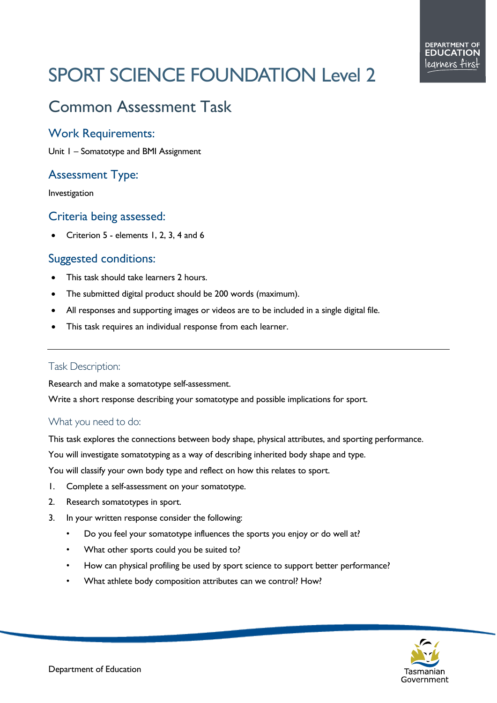# SPORT SCIENCE FOUNDATION Level 2

# Common Assessment Task

#### Work Requirements:

Unit 1 – Somatotype and BMI Assignment

# Assessment Type:

Investigation

#### Criteria being assessed:

• Criterion 5 - elements 1, 2, 3, 4 and 6

### Suggested conditions:

- This task should take learners 2 hours.
- The submitted digital product should be 200 words (maximum).
- All responses and supporting images or videos are to be included in a single digital file.
- This task requires an individual response from each learner.

#### Task Description:

Research and make a somatotype self-assessment.

Write a short response describing your somatotype and possible implications for sport.

#### What you need to do:

This task explores the connections between body shape, physical attributes, and sporting performance.

You will investigate somatotyping as a way of describing inherited body shape and type.

You will classify your own body type and reflect on how this relates to sport.

- 1. Complete a self-assessment on your somatotype.
- 2. Research somatotypes in sport.
- 3. In your written response consider the following:
	- Do you feel your somatotype influences the sports you enjoy or do well at?
	- What other sports could you be suited to?
	- How can physical profiling be used by sport science to support better performance?
	- What athlete body composition attributes can we control? How?